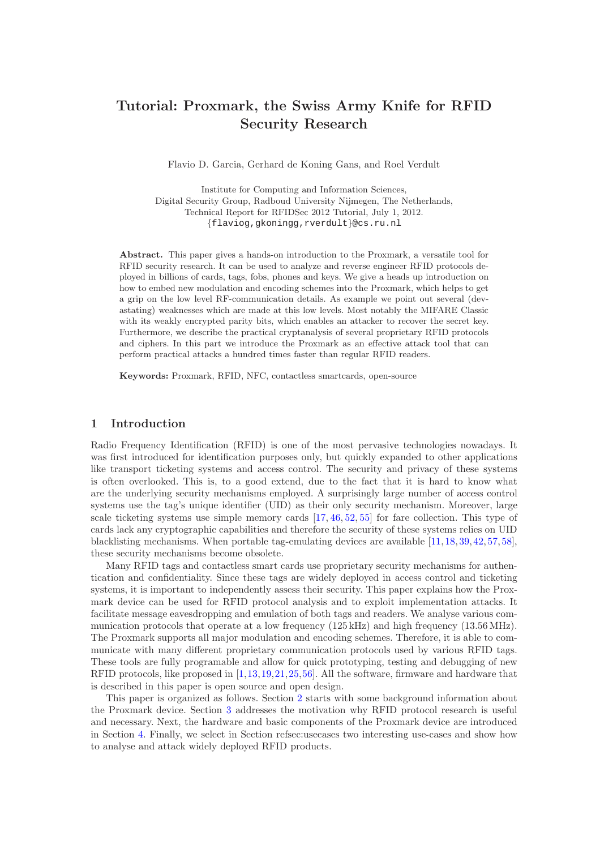# Tutorial: Proxmark, the Swiss Army Knife for RFID Security Research

Flavio D. Garcia, Gerhard de Koning Gans, and Roel Verdult

Institute for Computing and Information Sciences, Digital Security Group, Radboud University Nijmegen, The Netherlands, Technical Report for RFIDSec 2012 Tutorial, July 1, 2012. {flaviog,gkoningg,rverdult}@cs.ru.nl

Abstract. This paper gives a hands-on introduction to the Proxmark, a versatile tool for RFID security research. It can be used to analyze and reverse engineer RFID protocols deployed in billions of cards, tags, fobs, phones and keys. We give a heads up introduction on how to embed new modulation and encoding schemes into the Proxmark, which helps to get a grip on the low level RF-communication details. As example we point out several (devastating) weaknesses which are made at this low levels. Most notably the MIFARE Classic with its weakly encrypted parity bits, which enables an attacker to recover the secret key. Furthermore, we describe the practical cryptanalysis of several proprietary RFID protocols and ciphers. In this part we introduce the Proxmark as an effective attack tool that can perform practical attacks a hundred times faster than regular RFID readers.

Keywords: Proxmark, RFID, NFC, contactless smartcards, open-source

# 1 Introduction

Radio Frequency Identification (RFID) is one of the most pervasive technologies nowadays. It was first introduced for identification purposes only, but quickly expanded to other applications like transport ticketing systems and access control. The security and privacy of these systems is often overlooked. This is, to a good extend, due to the fact that it is hard to know what are the underlying security mechanisms employed. A surprisingly large number of access control systems use the tag's unique identifier (UID) as their only security mechanism. Moreover, large scale ticketing systems use simple memory cards [\[17,](#page-6-0) [46,](#page-7-0) [52,](#page-8-0) [55\]](#page-8-1) for fare collection. This type of cards lack any cryptographic capabilities and therefore the security of these systems relies on UID blacklisting mechanisms. When portable tag-emulating devices are available [\[11,](#page-6-1) [18,](#page-6-2) [39,](#page-7-1) [42,](#page-7-2) [57,](#page-8-2) [58\]](#page-8-3), these security mechanisms become obsolete.

Many RFID tags and contactless smart cards use proprietary security mechanisms for authentication and confidentiality. Since these tags are widely deployed in access control and ticketing systems, it is important to independently assess their security. This paper explains how the Proxmark device can be used for RFID protocol analysis and to exploit implementation attacks. It facilitate message eavesdropping and emulation of both tags and readers. We analyse various communication protocols that operate at a low frequency (125 kHz) and high frequency (13.56MHz). The Proxmark supports all major modulation and encoding schemes. Therefore, it is able to communicate with many different proprietary communication protocols used by various RFID tags. These tools are fully programable and allow for quick prototyping, testing and debugging of new RFID protocols, like proposed in [\[1,](#page-5-0)[13,](#page-6-3)[19,](#page-6-4)[21,](#page-6-5)[25,](#page-7-3)[56\]](#page-8-4). All the software, firmware and hardware that is described in this paper is open source and open design.

This paper is organized as follows. Section [2](#page-1-0) starts with some background information about the Proxmark device. Section [3](#page-2-0) addresses the motivation why RFID protocol research is useful and necessary. Next, the hardware and basic components of the Proxmark device are introduced in Section [4.](#page-2-1) Finally, we select in Section refsec:usecases two interesting use-cases and show how to analyse and attack widely deployed RFID products.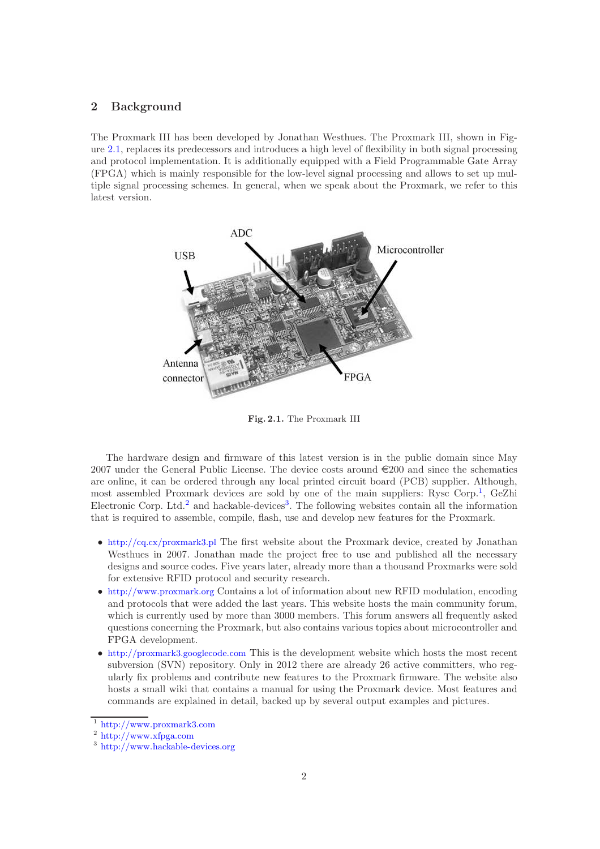# <span id="page-1-0"></span>2 Background

The Proxmark III has been developed by Jonathan Westhues. The Proxmark III, shown in Figure [2.1,](#page-1-1) replaces its predecessors and introduces a high level of flexibility in both signal processing and protocol implementation. It is additionally equipped with a Field Programmable Gate Array (FPGA) which is mainly responsible for the low-level signal processing and allows to set up multiple signal processing schemes. In general, when we speak about the Proxmark, we refer to this latest version.



<span id="page-1-1"></span>Fig. 2.1. The Proxmark III

The hardware design and firmware of this latest version is in the public domain since May 2007 under the General Public License. The device costs around  $\epsilon$ 200 and since the schematics are online, it can be ordered through any local printed circuit board (PCB) supplier. Although, most assembled Proxmark devices are sold by one of the main suppliers: Rysc Corp.[1](#page-1-2) , GeZhi Electronic Corp. Ltd.<sup>[2](#page-1-3)</sup> and hackable-devices<sup>[3](#page-1-4)</sup>. The following websites contain all the information that is required to assemble, compile, flash, use and develop new features for the Proxmark.

- <http://cq.cx/proxmark3.pl> The first website about the Proxmark device, created by Jonathan Westhues in 2007. Jonathan made the project free to use and published all the necessary designs and source codes. Five years later, already more than a thousand Proxmarks were sold for extensive RFID protocol and security research.
- <http://www.proxmark.org> Contains a lot of information about new RFID modulation, encoding and protocols that were added the last years. This website hosts the main community forum, which is currently used by more than 3000 members. This forum answers all frequently asked questions concerning the Proxmark, but also contains various topics about microcontroller and FPGA development.
- <http://proxmark3.googlecode.com> This is the development website which hosts the most recent subversion (SVN) repository. Only in 2012 there are already 26 active committers, who regularly fix problems and contribute new features to the Proxmark firmware. The website also hosts a small wiki that contains a manual for using the Proxmark device. Most features and commands are explained in detail, backed up by several output examples and pictures.

<sup>1</sup> <http://www.proxmark3.com>

<span id="page-1-2"></span><sup>2</sup> <http://www.xfpga.com>

<span id="page-1-4"></span><span id="page-1-3"></span><sup>3</sup> <http://www.hackable-devices.org>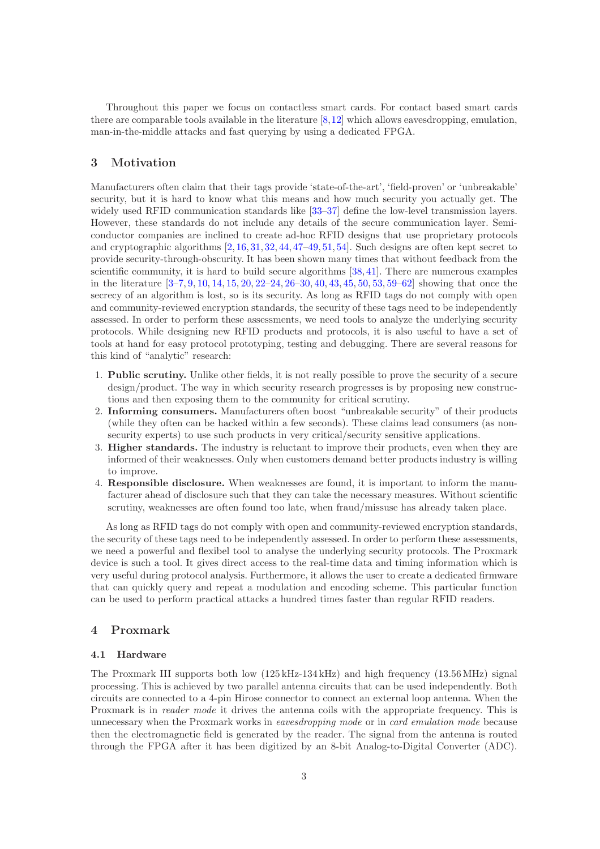Throughout this paper we focus on contactless smart cards. For contact based smart cards there are comparable tools available in the literature [\[8,](#page-6-6)[12\]](#page-6-7) which allows eavesdropping, emulation, man-in-the-middle attacks and fast querying by using a dedicated FPGA.

# <span id="page-2-0"></span>3 Motivation

Manufacturers often claim that their tags provide 'state-of-the-art', 'field-proven' or 'unbreakable' security, but it is hard to know what this means and how much security you actually get. The widely used RFID communication standards like [\[33](#page-7-4)[–37\]](#page-7-5) define the low-level transmission layers. However, these standards do not include any details of the secure communication layer. Semiconductor companies are inclined to create ad-hoc RFID designs that use proprietary protocols and cryptographic algorithms [\[2,](#page-5-1) [16,](#page-6-8) [31,](#page-7-6) [32,](#page-7-7) [44,](#page-7-8) [47–](#page-7-9)[49,](#page-8-5) [51,](#page-8-6) [54\]](#page-8-7). Such designs are often kept secret to provide security-through-obscurity. It has been shown many times that without feedback from the scientific community, it is hard to build secure algorithms [\[38,](#page-7-10) [41\]](#page-7-11). There are numerous examples in the literature [\[3–](#page-5-2)[7,](#page-6-9) [9,](#page-6-10) [10,](#page-6-11) [14,](#page-6-12) [15,](#page-6-13) [20,](#page-6-14) [22](#page-6-15)[–24,](#page-7-12) [26](#page-7-13)[–30,](#page-7-14) [40,](#page-7-15) [43,](#page-7-16) [45,](#page-7-17) [50,](#page-8-8) [53,](#page-8-9) [59–](#page-8-10)[62\]](#page-8-11) showing that once the secrecy of an algorithm is lost, so is its security. As long as RFID tags do not comply with open and community-reviewed encryption standards, the security of these tags need to be independently assessed. In order to perform these assessments, we need tools to analyze the underlying security protocols. While designing new RFID products and protocols, it is also useful to have a set of tools at hand for easy protocol prototyping, testing and debugging. There are several reasons for this kind of "analytic" research:

- 1. Public scrutiny. Unlike other fields, it is not really possible to prove the security of a secure design/product. The way in which security research progresses is by proposing new constructions and then exposing them to the community for critical scrutiny.
- 2. Informing consumers. Manufacturers often boost "unbreakable security" of their products (while they often can be hacked within a few seconds). These claims lead consumers (as nonsecurity experts) to use such products in very critical/security sensitive applications.
- 3. Higher standards. The industry is reluctant to improve their products, even when they are informed of their weaknesses. Only when customers demand better products industry is willing to improve.
- 4. Responsible disclosure. When weaknesses are found, it is important to inform the manufacturer ahead of disclosure such that they can take the necessary measures. Without scientific scrutiny, weaknesses are often found too late, when fraud/missuse has already taken place.

As long as RFID tags do not comply with open and community-reviewed encryption standards, the security of these tags need to be independently assessed. In order to perform these assessments, we need a powerful and flexibel tool to analyse the underlying security protocols. The Proxmark device is such a tool. It gives direct access to the real-time data and timing information which is very useful during protocol analysis. Furthermore, it allows the user to create a dedicated firmware that can quickly query and repeat a modulation and encoding scheme. This particular function can be used to perform practical attacks a hundred times faster than regular RFID readers.

## <span id="page-2-1"></span>4 Proxmark

#### 4.1 Hardware

The Proxmark III supports both low (125 kHz-134 kHz) and high frequency (13.56MHz) signal processing. This is achieved by two parallel antenna circuits that can be used independently. Both circuits are connected to a 4-pin Hirose connector to connect an external loop antenna. When the Proxmark is in reader mode it drives the antenna coils with the appropriate frequency. This is unnecessary when the Proxmark works in eavesdropping mode or in card emulation mode because then the electromagnetic field is generated by the reader. The signal from the antenna is routed through the FPGA after it has been digitized by an 8-bit Analog-to-Digital Converter (ADC).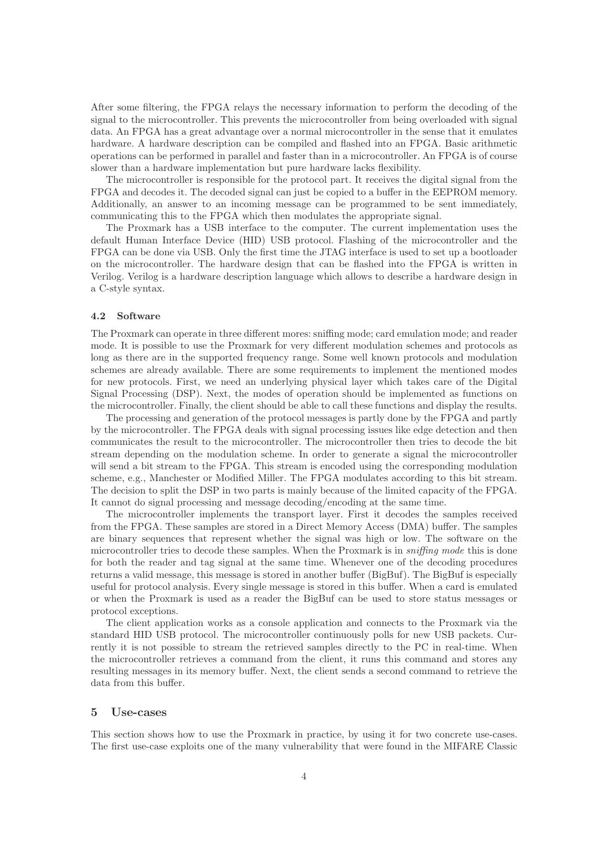After some filtering, the FPGA relays the necessary information to perform the decoding of the signal to the microcontroller. This prevents the microcontroller from being overloaded with signal data. An FPGA has a great advantage over a normal microcontroller in the sense that it emulates hardware. A hardware description can be compiled and flashed into an FPGA. Basic arithmetic operations can be performed in parallel and faster than in a microcontroller. An FPGA is of course slower than a hardware implementation but pure hardware lacks flexibility.

The microcontroller is responsible for the protocol part. It receives the digital signal from the FPGA and decodes it. The decoded signal can just be copied to a buffer in the EEPROM memory. Additionally, an answer to an incoming message can be programmed to be sent immediately, communicating this to the FPGA which then modulates the appropriate signal.

The Proxmark has a USB interface to the computer. The current implementation uses the default Human Interface Device (HID) USB protocol. Flashing of the microcontroller and the FPGA can be done via USB. Only the first time the JTAG interface is used to set up a bootloader on the microcontroller. The hardware design that can be flashed into the FPGA is written in Verilog. Verilog is a hardware description language which allows to describe a hardware design in a C-style syntax.

#### 4.2 Software

The Proxmark can operate in three different mores: sniffing mode; card emulation mode; and reader mode. It is possible to use the Proxmark for very different modulation schemes and protocols as long as there are in the supported frequency range. Some well known protocols and modulation schemes are already available. There are some requirements to implement the mentioned modes for new protocols. First, we need an underlying physical layer which takes care of the Digital Signal Processing (DSP). Next, the modes of operation should be implemented as functions on the microcontroller. Finally, the client should be able to call these functions and display the results.

The processing and generation of the protocol messages is partly done by the FPGA and partly by the microcontroller. The FPGA deals with signal processing issues like edge detection and then communicates the result to the microcontroller. The microcontroller then tries to decode the bit stream depending on the modulation scheme. In order to generate a signal the microcontroller will send a bit stream to the FPGA. This stream is encoded using the corresponding modulation scheme, e.g., Manchester or Modified Miller. The FPGA modulates according to this bit stream. The decision to split the DSP in two parts is mainly because of the limited capacity of the FPGA. It cannot do signal processing and message decoding/encoding at the same time.

The microcontroller implements the transport layer. First it decodes the samples received from the FPGA. These samples are stored in a Direct Memory Access (DMA) buffer. The samples are binary sequences that represent whether the signal was high or low. The software on the microcontroller tries to decode these samples. When the Proxmark is in *sniffing mode* this is done for both the reader and tag signal at the same time. Whenever one of the decoding procedures returns a valid message, this message is stored in another buffer (BigBuf). The BigBuf is especially useful for protocol analysis. Every single message is stored in this buffer. When a card is emulated or when the Proxmark is used as a reader the BigBuf can be used to store status messages or protocol exceptions.

The client application works as a console application and connects to the Proxmark via the standard HID USB protocol. The microcontroller continuously polls for new USB packets. Currently it is not possible to stream the retrieved samples directly to the PC in real-time. When the microcontroller retrieves a command from the client, it runs this command and stores any resulting messages in its memory buffer. Next, the client sends a second command to retrieve the data from this buffer.

# 5 Use-cases

This section shows how to use the Proxmark in practice, by using it for two concrete use-cases. The first use-case exploits one of the many vulnerability that were found in the MIFARE Classic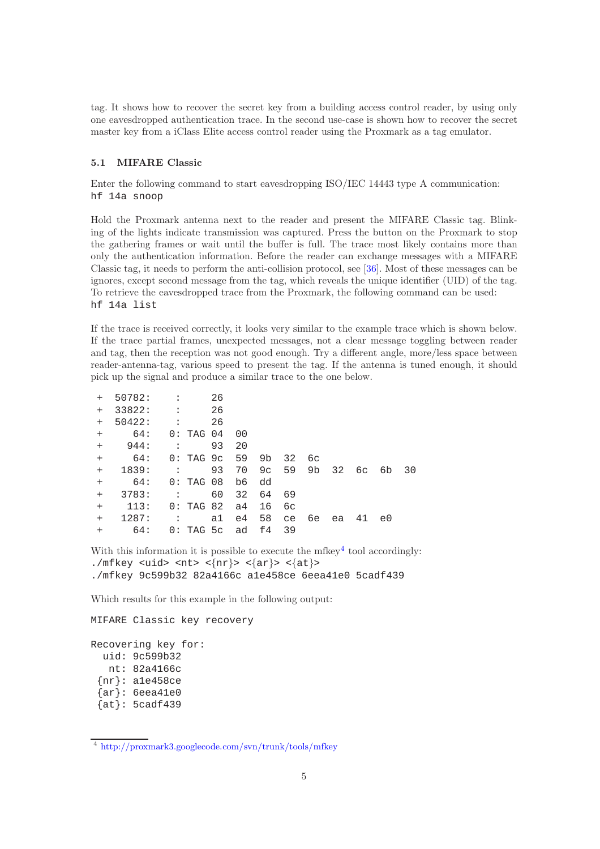tag. It shows how to recover the secret key from a building access control reader, by using only one eavesdropped authentication trace. In the second use-case is shown how to recover the secret master key from a iClass Elite access control reader using the Proxmark as a tag emulator.

# 5.1 MIFARE Classic

Enter the following command to start eavesdropping ISO/IEC 14443 type A communication: hf 14a snoop

Hold the Proxmark antenna next to the reader and present the MIFARE Classic tag. Blinking of the lights indicate transmission was captured. Press the button on the Proxmark to stop the gathering frames or wait until the buffer is full. The trace most likely contains more than only the authentication information. Before the reader can exchange messages with a MIFARE Classic tag, it needs to perform the anti-collision protocol, see [\[36\]](#page-7-18). Most of these messages can be ignores, except second message from the tag, which reveals the unique identifier (UID) of the tag. To retrieve the eavesdropped trace from the Proxmark, the following command can be used: hf 14a list

If the trace is received correctly, it looks very similar to the example trace which is shown below. If the trace partial frames, unexpected messages, not a clear message toggling between reader and tag, then the reception was not good enough. Try a different angle, more/less space between reader-antenna-tag, various speed to present the tag. If the antenna is tuned enough, it should pick up the signal and produce a similar trace to the one below.

| $+$    | 50782: | $\ddot{\phantom{a}}$ |               | 26 |    |    |    |    |    |    |    |    |
|--------|--------|----------------------|---------------|----|----|----|----|----|----|----|----|----|
| $^{+}$ | 33822: | $\ddot{\phantom{a}}$ |               | 26 |    |    |    |    |    |    |    |    |
| $+$    | 50422: | $\ddot{\phantom{a}}$ |               | 26 |    |    |    |    |    |    |    |    |
| $+$    | 64:    |                      | 0: TAG 04     |    | 00 |    |    |    |    |    |    |    |
| $+$    | 944:   | $\ddot{\phantom{a}}$ |               | 93 | 20 |    |    |    |    |    |    |    |
| $+$    | 64:    |                      | $0:$ TAG $9c$ |    | 59 | 9b | 32 | 6c |    |    |    |    |
| $+$    | 1839:  | $\mathbb{R}^2$       |               | 93 | 70 | 9c | 59 | 9b | 32 | 6с | 6b | 30 |
| $+$    | 64:    |                      | 0: TAG 08     |    | b6 | dd |    |    |    |    |    |    |
| $+$    | 3783:  | $\ddot{\phantom{a}}$ |               | 60 | 32 | 64 | 69 |    |    |    |    |    |
| $^{+}$ | 113:   |                      | 0: TAG 82     |    | a4 | 16 | 6с |    |    |    |    |    |
| $+$    | 1287:  | $\ddot{\phantom{a}}$ |               | a1 | e4 | 58 | ce | бе | ea | 41 | e0 |    |
| $^{+}$ | 64:    |                      | $0:$ TAG $5c$ |    | ad | f4 | 39 |    |    |    |    |    |
|        |        |                      |               |    |    |    |    |    |    |    |    |    |

With this information it is possible to execute the mfkey<sup>[4](#page-4-0)</sup> tool accordingly: ./mfkey <uid> <nt> < $\{nr\}$ > < $\{ar\}$ > < $\{at\}$ > ./mfkey 9c599b32 82a4166c a1e458ce 6eea41e0 5cadf439

Which results for this example in the following output:

MIFARE Classic key recovery Recovering key for: uid: 9c599b32 nt: 82a4166c {nr}: a1e458ce  $\{ar\}$ : 6eea41e0  $\{at\}$ : 5cadf439

<span id="page-4-0"></span><sup>4</sup> <http://proxmark3.googlecode.com/svn/trunk/tools/mfkey>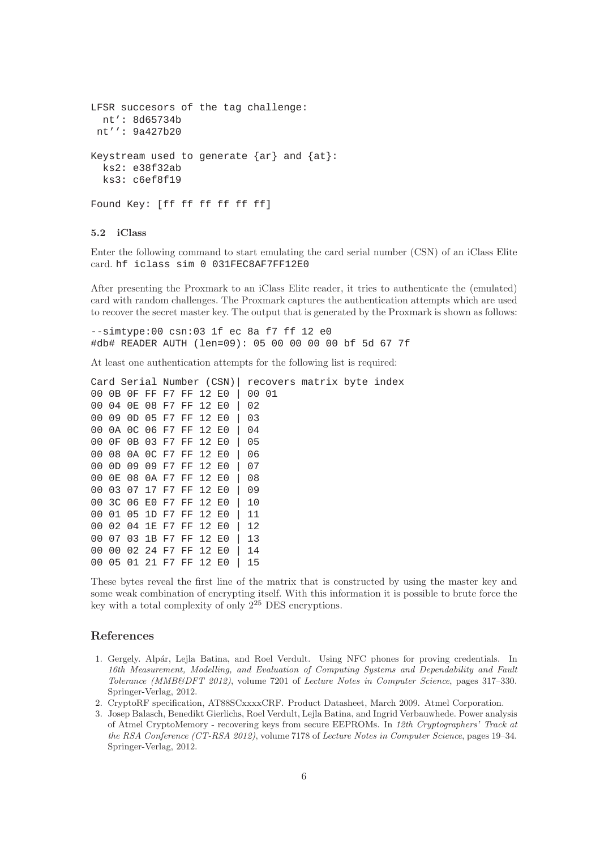```
LFSR succesors of the tag challenge:
 nt': 8d65734b
nt'': 9a427b20
Keystream used to generate \{ar\} and \{at\}:
 ks2: e38f32ab
 ks3: c6ef8f19
Found Key: [ff ff ff ff ff ff]
```
# 5.2 iClass

Enter the following command to start emulating the card serial number (CSN) of an iClass Elite card. hf iclass sim 0 031FEC8AF7FF12E0

After presenting the Proxmark to an iClass Elite reader, it tries to authenticate the (emulated) card with random challenges. The Proxmark captures the authentication attempts which are used to recover the secret master key. The output that is generated by the Proxmark is shown as follows:

--simtype:00 csn:03 1f ec 8a f7 ff 12 e0 #db# READER AUTH (len=09): 05 00 00 00 00 bf 5d 67 7f

At least one authentication attempts for the following list is required:

|    |       |                   |          |       |                   |       | Card Serial Number (CSN) |       | recovers matrix byte index |  |
|----|-------|-------------------|----------|-------|-------------------|-------|--------------------------|-------|----------------------------|--|
|    |       |                   |          |       | 00 OB OF FF F7 FF | 12 E0 |                          | 00 01 |                            |  |
|    |       |                   |          |       | 00 04 0E 08 F7 FF | 12 E0 |                          | 02    |                            |  |
|    |       | 00 09 0D 05 F7 FF |          |       |                   | 12 E0 |                          | 03    |                            |  |
|    |       | 00 0A 0C 06 F7 FF |          |       |                   | 12 E0 |                          | 04    |                            |  |
| 00 | 0 F   | 0B 03 F7 FF       |          |       |                   | 12 E0 |                          | 05    |                            |  |
|    |       | 00 08 0A 0C F7 FF |          |       |                   | 12 E0 |                          | 06    |                            |  |
|    |       |                   |          |       | 00 OD 09 09 F7 FF | 12 E0 |                          | 07    |                            |  |
| 00 | 0E 08 |                   | 0A F7 FF |       |                   | 12 E0 |                          | 08    |                            |  |
|    |       |                   |          |       | 00 03 07 17 F7 FF | 12 E0 |                          | 09    |                            |  |
|    |       | 00 3C 06 E0 F7 FF |          |       |                   | 12 E0 |                          | 10    |                            |  |
| 00 |       | 01 05 1D F7 FF    |          |       |                   | 12 E0 |                          | 11    |                            |  |
|    |       | 00 02 04 1E F7 FF |          |       |                   | 12 E0 |                          | 12    |                            |  |
|    |       | 00 07 03 1B F7 FF |          |       |                   | 12 E0 |                          | 13    |                            |  |
|    |       | 00 00 02 24 F7 FF |          |       |                   | 12 E0 |                          | 14    |                            |  |
| 00 | 05    | 01                | 21       | F7 FF |                   | 12 E0 |                          | 15    |                            |  |
|    |       |                   |          |       |                   |       |                          |       |                            |  |

These bytes reveal the first line of the matrix that is constructed by using the master key and some weak combination of encrypting itself. With this information it is possible to brute force the key with a total complexity of only  $2^{25}$  DES encryptions.

## References

- <span id="page-5-0"></span>1. Gergely. Alpár, Lejla Batina, and Roel Verdult. Using NFC phones for proving credentials. In 16th Measurement, Modelling, and Evaluation of Computing Systems and Dependability and Fault Tolerance (MMB&DFT 2012), volume 7201 of Lecture Notes in Computer Science, pages 317–330. Springer-Verlag, 2012.
- <span id="page-5-2"></span><span id="page-5-1"></span>2. CryptoRF specification, AT88SCxxxxCRF. Product Datasheet, March 2009. Atmel Corporation.
- 3. Josep Balasch, Benedikt Gierlichs, Roel Verdult, Lejla Batina, and Ingrid Verbauwhede. Power analysis of Atmel CryptoMemory - recovering keys from secure EEPROMs. In 12th Cryptographers' Track at the RSA Conference (CT-RSA 2012), volume 7178 of Lecture Notes in Computer Science, pages 19–34. Springer-Verlag, 2012.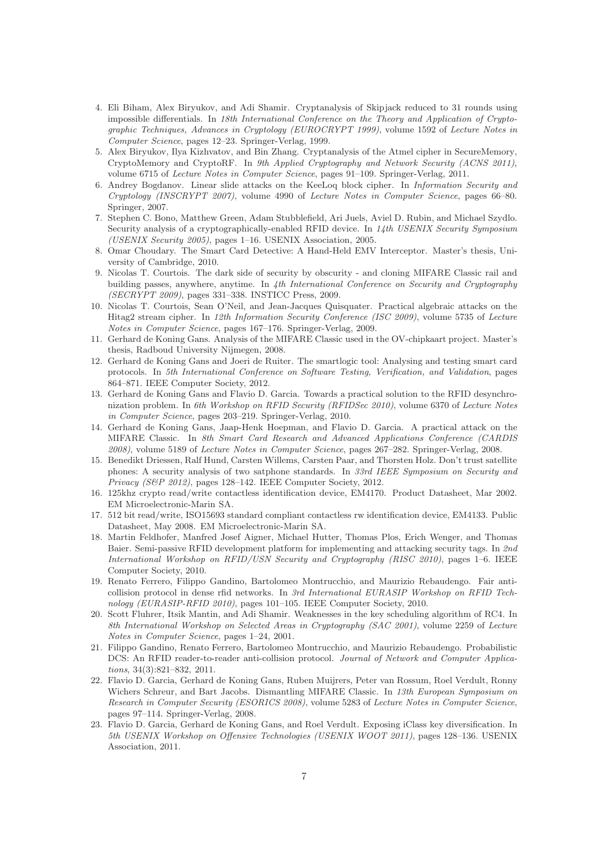- 4. Eli Biham, Alex Biryukov, and Adi Shamir. Cryptanalysis of Skipjack reduced to 31 rounds using impossible differentials. In 18th International Conference on the Theory and Application of Cryptographic Techniques, Advances in Cryptology (EUROCRYPT 1999), volume 1592 of Lecture Notes in Computer Science, pages 12–23. Springer-Verlag, 1999.
- 5. Alex Biryukov, Ilya Kizhvatov, and Bin Zhang. Cryptanalysis of the Atmel cipher in SecureMemory, CryptoMemory and CryptoRF. In 9th Applied Cryptography and Network Security (ACNS 2011), volume 6715 of Lecture Notes in Computer Science, pages 91–109. Springer-Verlag, 2011.
- 6. Andrey Bogdanov. Linear slide attacks on the KeeLoq block cipher. In Information Security and Cryptology (INSCRYPT 2007), volume 4990 of Lecture Notes in Computer Science, pages 66–80. Springer, 2007.
- <span id="page-6-9"></span>7. Stephen C. Bono, Matthew Green, Adam Stubblefield, Ari Juels, Aviel D. Rubin, and Michael Szydlo. Security analysis of a cryptographically-enabled RFID device. In 14th USENIX Security Symposium (USENIX Security 2005), pages 1–16. USENIX Association, 2005.
- <span id="page-6-6"></span>8. Omar Choudary. The Smart Card Detective: A Hand-Held EMV Interceptor. Master's thesis, University of Cambridge, 2010.
- <span id="page-6-10"></span>9. Nicolas T. Courtois. The dark side of security by obscurity - and cloning MIFARE Classic rail and building passes, anywhere, anytime. In 4th International Conference on Security and Cryptography (SECRYPT 2009), pages 331–338. INSTICC Press, 2009.
- <span id="page-6-11"></span>10. Nicolas T. Courtois, Sean O'Neil, and Jean-Jacques Quisquater. Practical algebraic attacks on the Hitag2 stream cipher. In 12th Information Security Conference (ISC 2009), volume 5735 of Lecture Notes in Computer Science, pages 167–176. Springer-Verlag, 2009.
- <span id="page-6-1"></span>11. Gerhard de Koning Gans. Analysis of the MIFARE Classic used in the OV-chipkaart project. Master's thesis, Radboud University Nijmegen, 2008.
- <span id="page-6-7"></span>12. Gerhard de Koning Gans and Joeri de Ruiter. The smartlogic tool: Analysing and testing smart card protocols. In 5th International Conference on Software Testing, Verification, and Validation, pages 864–871. IEEE Computer Society, 2012.
- <span id="page-6-3"></span>13. Gerhard de Koning Gans and Flavio D. Garcia. Towards a practical solution to the RFID desynchronization problem. In 6th Workshop on RFID Security (RFIDSec 2010), volume 6370 of Lecture Notes in Computer Science, pages 203–219. Springer-Verlag, 2010.
- <span id="page-6-12"></span>14. Gerhard de Koning Gans, Jaap-Henk Hoepman, and Flavio D. Garcia. A practical attack on the MIFARE Classic. In 8th Smart Card Research and Advanced Applications Conference (CARDIS 2008), volume 5189 of Lecture Notes in Computer Science, pages 267–282. Springer-Verlag, 2008.
- <span id="page-6-13"></span>15. Benedikt Driessen, Ralf Hund, Carsten Willems, Carsten Paar, and Thorsten Holz. Don't trust satellite phones: A security analysis of two satphone standards. In 33rd IEEE Symposium on Security and Privacy (S&P 2012), pages 128–142. IEEE Computer Society, 2012.
- <span id="page-6-8"></span>16. 125khz crypto read/write contactless identification device, EM4170. Product Datasheet, Mar 2002. EM Microelectronic-Marin SA.
- <span id="page-6-0"></span>17. 512 bit read/write, ISO15693 standard compliant contactless rw identification device, EM4133. Public Datasheet, May 2008. EM Microelectronic-Marin SA.
- <span id="page-6-2"></span>18. Martin Feldhofer, Manfred Josef Aigner, Michael Hutter, Thomas Plos, Erich Wenger, and Thomas Baier. Semi-passive RFID development platform for implementing and attacking security tags. In 2nd International Workshop on RFID/USN Security and Cryptography (RISC 2010), pages 1–6. IEEE Computer Society, 2010.
- <span id="page-6-4"></span>19. Renato Ferrero, Filippo Gandino, Bartolomeo Montrucchio, and Maurizio Rebaudengo. Fair anticollision protocol in dense rfid networks. In 3rd International EURASIP Workshop on RFID Technology (EURASIP-RFID 2010), pages 101–105. IEEE Computer Society, 2010.
- <span id="page-6-14"></span>20. Scott Fluhrer, Itsik Mantin, and Adi Shamir. Weaknesses in the key scheduling algorithm of RC4. In 8th International Workshop on Selected Areas in Cryptography (SAC 2001), volume 2259 of Lecture Notes in Computer Science, pages 1–24, 2001.
- <span id="page-6-5"></span>21. Filippo Gandino, Renato Ferrero, Bartolomeo Montrucchio, and Maurizio Rebaudengo. Probabilistic DCS: An RFID reader-to-reader anti-collision protocol. Journal of Network and Computer Applications, 34(3):821–832, 2011.
- <span id="page-6-15"></span>22. Flavio D. Garcia, Gerhard de Koning Gans, Ruben Muijrers, Peter van Rossum, Roel Verdult, Ronny Wichers Schreur, and Bart Jacobs. Dismantling MIFARE Classic. In 13th European Symposium on Research in Computer Security (ESORICS 2008), volume 5283 of Lecture Notes in Computer Science, pages 97–114. Springer-Verlag, 2008.
- 23. Flavio D. Garcia, Gerhard de Koning Gans, and Roel Verdult. Exposing iClass key diversification. In 5th USENIX Workshop on Offensive Technologies (USENIX WOOT 2011), pages 128–136. USENIX Association, 2011.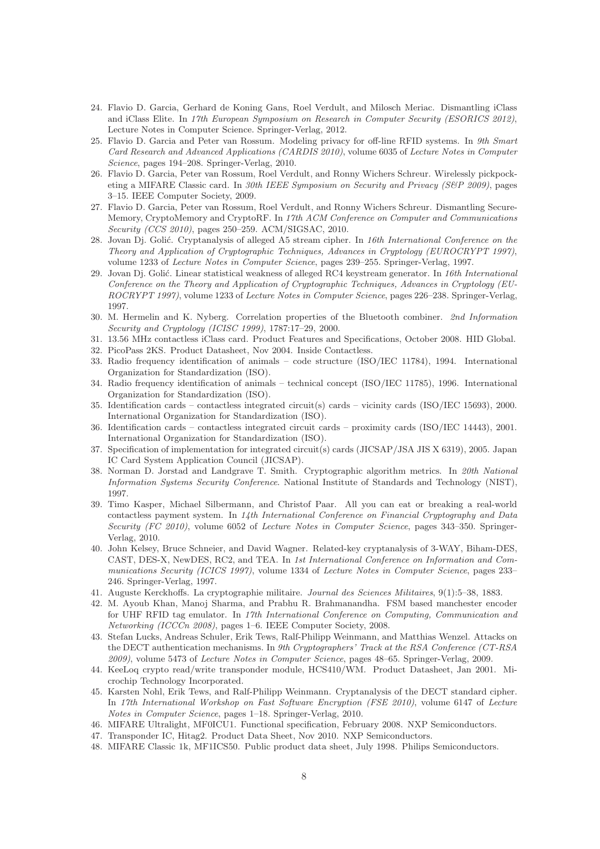- <span id="page-7-12"></span>24. Flavio D. Garcia, Gerhard de Koning Gans, Roel Verdult, and Milosch Meriac. Dismantling iClass and iClass Elite. In 17th European Symposium on Research in Computer Security (ESORICS 2012), Lecture Notes in Computer Science. Springer-Verlag, 2012.
- <span id="page-7-3"></span>25. Flavio D. Garcia and Peter van Rossum. Modeling privacy for off-line RFID systems. In 9th Smart Card Research and Advanced Applications (CARDIS 2010), volume 6035 of Lecture Notes in Computer Science, pages 194–208. Springer-Verlag, 2010.
- <span id="page-7-13"></span>26. Flavio D. Garcia, Peter van Rossum, Roel Verdult, and Ronny Wichers Schreur. Wirelessly pickpocketing a MIFARE Classic card. In 30th IEEE Symposium on Security and Privacy (S&P 2009), pages 3–15. IEEE Computer Society, 2009.
- 27. Flavio D. Garcia, Peter van Rossum, Roel Verdult, and Ronny Wichers Schreur. Dismantling Secure-Memory, CryptoMemory and CryptoRF. In 17th ACM Conference on Computer and Communications Security (CCS 2010), pages 250–259. ACM/SIGSAC, 2010.
- 28. Jovan Dj. Golić. Cryptanalysis of alleged A5 stream cipher. In 16th International Conference on the Theory and Application of Cryptographic Techniques, Advances in Cryptology (EUROCRYPT 1997), volume 1233 of Lecture Notes in Computer Science, pages 239–255. Springer-Verlag, 1997.
- 29. Jovan Dj. Golić. Linear statistical weakness of alleged RC4 keystream generator. In 16th International Conference on the Theory and Application of Cryptographic Techniques, Advances in Cryptology (EU-ROCRYPT 1997), volume 1233 of Lecture Notes in Computer Science, pages 226–238. Springer-Verlag, 1997.
- <span id="page-7-14"></span>30. M. Hermelin and K. Nyberg. Correlation properties of the Bluetooth combiner. 2nd Information Security and Cryptology (ICISC 1999), 1787:17–29, 2000.
- <span id="page-7-7"></span><span id="page-7-6"></span>31. 13.56 MHz contactless iClass card. Product Features and Specifications, October 2008. HID Global.
- <span id="page-7-4"></span>32. PicoPass 2KS. Product Datasheet, Nov 2004. Inside Contactless.
- 33. Radio frequency identification of animals code structure (ISO/IEC 11784), 1994. International Organization for Standardization (ISO).
- 34. Radio frequency identification of animals technical concept (ISO/IEC 11785), 1996. International Organization for Standardization (ISO).
- 35. Identification cards contactless integrated circuit(s) cards vicinity cards (ISO/IEC 15693), 2000. International Organization for Standardization (ISO).
- <span id="page-7-18"></span>36. Identification cards – contactless integrated circuit cards – proximity cards (ISO/IEC 14443), 2001. International Organization for Standardization (ISO).
- <span id="page-7-5"></span>37. Specification of implementation for integrated circuit(s) cards (JICSAP/JSA JIS X 6319), 2005. Japan IC Card System Application Council (JICSAP).
- <span id="page-7-10"></span>38. Norman D. Jorstad and Landgrave T. Smith. Cryptographic algorithm metrics. In 20th National Information Systems Security Conference. National Institute of Standards and Technology (NIST), 1997.
- <span id="page-7-1"></span>39. Timo Kasper, Michael Silbermann, and Christof Paar. All you can eat or breaking a real-world contactless payment system. In 14th International Conference on Financial Cryptography and Data Security (FC 2010), volume 6052 of Lecture Notes in Computer Science, pages 343–350. Springer-Verlag, 2010.
- <span id="page-7-15"></span>40. John Kelsey, Bruce Schneier, and David Wagner. Related-key cryptanalysis of 3-WAY, Biham-DES, CAST, DES-X, NewDES, RC2, and TEA. In 1st International Conference on Information and Communications Security (ICICS 1997), volume 1334 of Lecture Notes in Computer Science, pages 233– 246. Springer-Verlag, 1997.
- <span id="page-7-11"></span><span id="page-7-2"></span>41. Auguste Kerckhoffs. La cryptographie militaire. Journal des Sciences Militaires, 9(1):5–38, 1883.
- 42. M. Ayoub Khan, Manoj Sharma, and Prabhu R. Brahmanandha. FSM based manchester encoder for UHF RFID tag emulator. In 17th International Conference on Computing, Communication and Networking (ICCCn 2008), pages 1–6. IEEE Computer Society, 2008.
- <span id="page-7-16"></span>43. Stefan Lucks, Andreas Schuler, Erik Tews, Ralf-Philipp Weinmann, and Matthias Wenzel. Attacks on the DECT authentication mechanisms. In 9th Cryptographers' Track at the RSA Conference (CT-RSA) 2009), volume 5473 of Lecture Notes in Computer Science, pages 48–65. Springer-Verlag, 2009.
- <span id="page-7-8"></span>44. KeeLoq crypto read/write transponder module, HCS410/WM. Product Datasheet, Jan 2001. Microchip Technology Incorporated.
- <span id="page-7-17"></span>45. Karsten Nohl, Erik Tews, and Ralf-Philipp Weinmann. Cryptanalysis of the DECT standard cipher. In 17th International Workshop on Fast Software Encryption (FSE 2010), volume 6147 of Lecture Notes in Computer Science, pages 1–18. Springer-Verlag, 2010.
- <span id="page-7-9"></span><span id="page-7-0"></span>46. MIFARE Ultralight, MF0ICU1. Functional specification, February 2008. NXP Semiconductors.
- 47. Transponder IC, Hitag2. Product Data Sheet, Nov 2010. NXP Semiconductors.
- 48. MIFARE Classic 1k, MF1ICS50. Public product data sheet, July 1998. Philips Semiconductors.